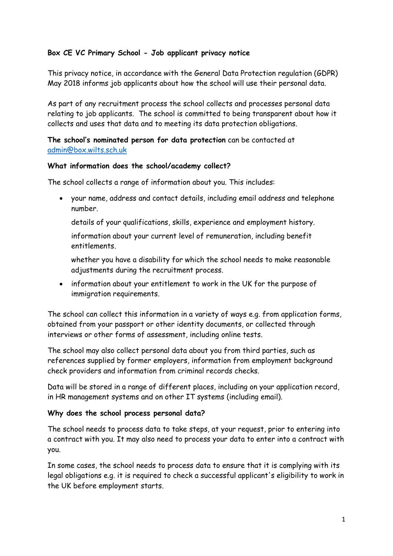# **Box CE VC Primary School - Job applicant privacy notice**

This privacy notice, in accordance with the General Data Protection regulation (GDPR) May 2018 informs job applicants about how the school will use their personal data.

As part of any recruitment process the school collects and processes personal data relating to job applicants. The school is committed to being transparent about how it collects and uses that data and to meeting its data protection obligations.

## **The school's nominated person for data protection** can be contacted at [admin@box.wilts.sch.uk](mailto:admin@box.wilts.sch.uk)

#### **What information does the school/academy collect?**

The school collects a range of information about you. This includes:

 your name, address and contact details, including email address and telephone number.

details of your qualifications, skills, experience and employment history.

information about your current level of remuneration, including benefit entitlements.

whether you have a disability for which the school needs to make reasonable adjustments during the recruitment process.

• information about your entitlement to work in the UK for the purpose of immigration requirements.

The school can collect this information in a variety of ways e.g. from application forms, obtained from your passport or other identity documents, or collected through interviews or other forms of assessment, including online tests.

The school may also collect personal data about you from third parties, such as references supplied by former employers, information from employment background check providers and information from criminal records checks.

Data will be stored in a range of different places, including on your application record, in HR management systems and on other IT systems (including email).

### **Why does the school process personal data?**

The school needs to process data to take steps, at your request, prior to entering into a contract with you. It may also need to process your data to enter into a contract with you.

In some cases, the school needs to process data to ensure that it is complying with its legal obligations e.g. it is required to check a successful applicant's eligibility to work in the UK before employment starts.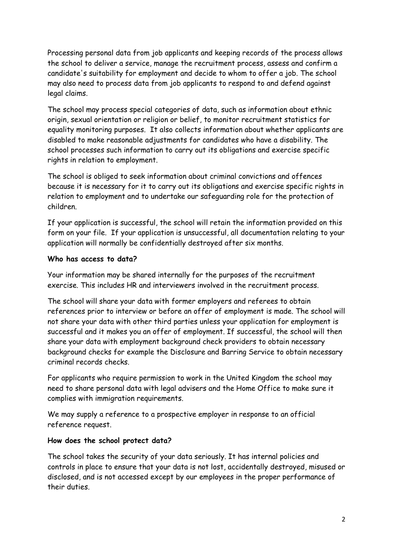Processing personal data from job applicants and keeping records of the process allows the school to deliver a service, manage the recruitment process, assess and confirm a candidate's suitability for employment and decide to whom to offer a job. The school may also need to process data from job applicants to respond to and defend against legal claims.

The school may process special categories of data, such as information about ethnic origin, sexual orientation or religion or belief, to monitor recruitment statistics for equality monitoring purposes. It also collects information about whether applicants are disabled to make reasonable adjustments for candidates who have a disability. The school processes such information to carry out its obligations and exercise specific rights in relation to employment.

The school is obliged to seek information about criminal convictions and offences because it is necessary for it to carry out its obligations and exercise specific rights in relation to employment and to undertake our safeguarding role for the protection of children.

If your application is successful, the school will retain the information provided on this form on your file. If your application is unsuccessful, all documentation relating to your application will normally be confidentially destroyed after six months.

### **Who has access to data?**

Your information may be shared internally for the purposes of the recruitment exercise. This includes HR and interviewers involved in the recruitment process.

The school will share your data with former employers and referees to obtain references prior to interview or before an offer of employment is made. The school will not share your data with other third parties unless your application for employment is successful and it makes you an offer of employment. If successful, the school will then share your data with employment background check providers to obtain necessary background checks for example the Disclosure and Barring Service to obtain necessary criminal records checks.

For applicants who require permission to work in the United Kingdom the school may need to share personal data with legal advisers and the Home Office to make sure it complies with immigration requirements.

We may supply a reference to a prospective employer in response to an official reference request.

#### **How does the school protect data?**

The school takes the security of your data seriously. It has internal policies and controls in place to ensure that your data is not lost, accidentally destroyed, misused or disclosed, and is not accessed except by our employees in the proper performance of their duties.